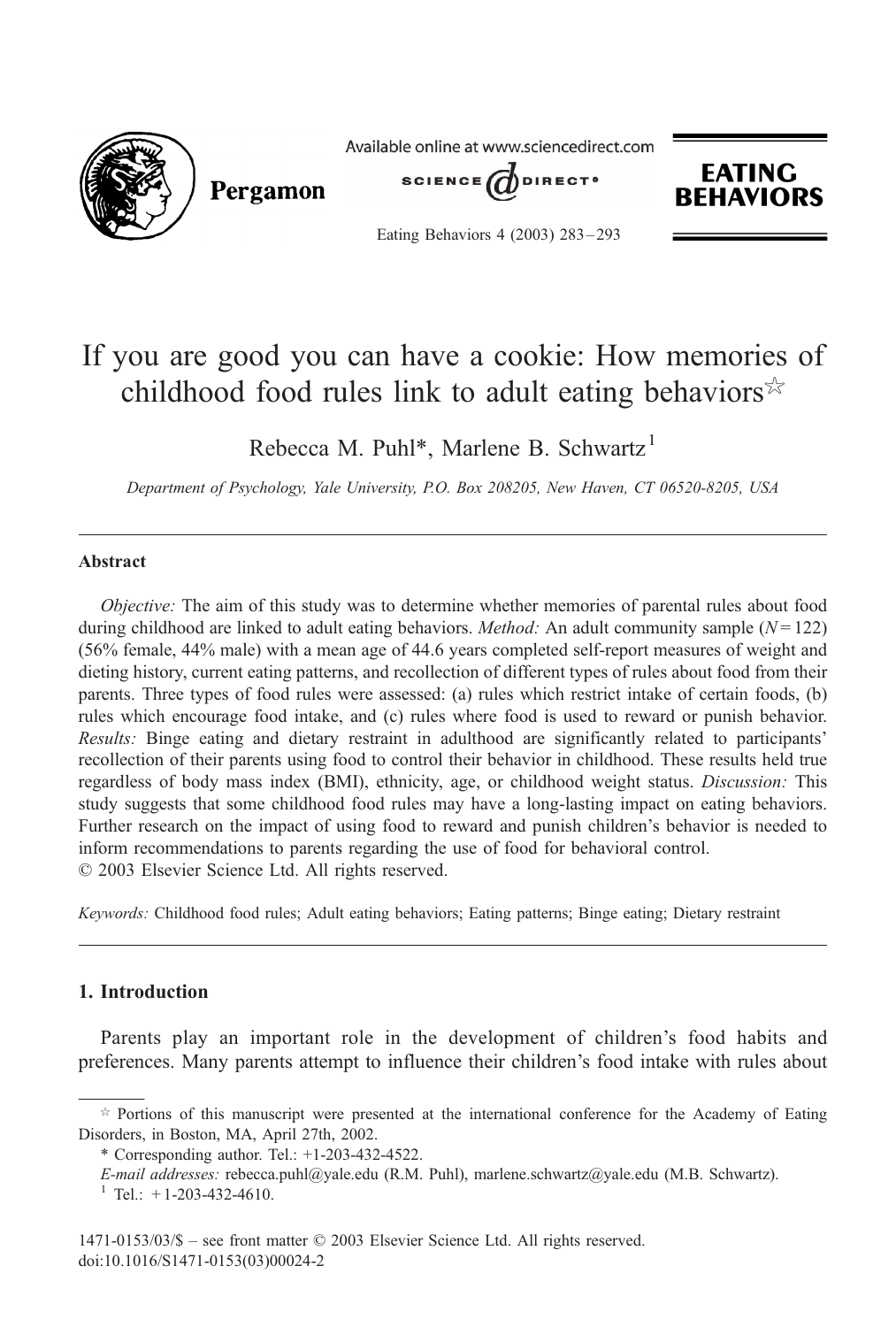

# If you are good you can have a cookie: How memories of childhood food rules link to adult eating behaviors  $\mathbb{R}^2$

Rebecca M. Puhl\*, Marlene B. Schwartz<sup>1</sup>

Department of Psychology, Yale University, P.O. Box 208205, New Haven, CT 06520-8205, USA

## Abstract

Objective: The aim of this study was to determine whether memories of parental rules about food during childhood are linked to adult eating behaviors. *Method:* An adult community sample  $(N = 122)$ (56% female, 44% male) with a mean age of 44.6 years completed self-report measures of weight and dieting history, current eating patterns, and recollection of different types of rules about food from their parents. Three types of food rules were assessed: (a) rules which restrict intake of certain foods, (b) rules which encourage food intake, and (c) rules where food is used to reward or punish behavior. Results: Binge eating and dietary restraint in adulthood are significantly related to participants' recollection of their parents using food to control their behavior in childhood. These results held true regardless of body mass index (BMI), ethnicity, age, or childhood weight status. Discussion: This study suggests that some childhood food rules may have a long-lasting impact on eating behaviors. Further research on the impact of using food to reward and punish children's behavior is needed to inform recommendations to parents regarding the use of food for behavioral control.  $© 2003 Elsevier Science Ltd. All rights reserved.$ 

Keywords: Childhood food rules; Adult eating behaviors; Eating patterns; Binge eating; Dietary restraint

## 1. Introduction

Parents play an important role in the development of children's food habits and preferences. Many parents attempt to influence their children's food intake with rules about

 $\dot{\gamma}$  Portions of this manuscript were presented at the international conference for the Academy of Eating Disorders, in Boston, MA, April 27th, 2002.

<sup>\*</sup> Corresponding author. Tel.: +1-203-432-4522.

E-mail addresses: rebecca.puhl@yale.edu (R.M. Puhl), marlene.schwartz@yale.edu (M.B. Schwartz). <sup>1</sup> Tel.: +1-203-432-4610.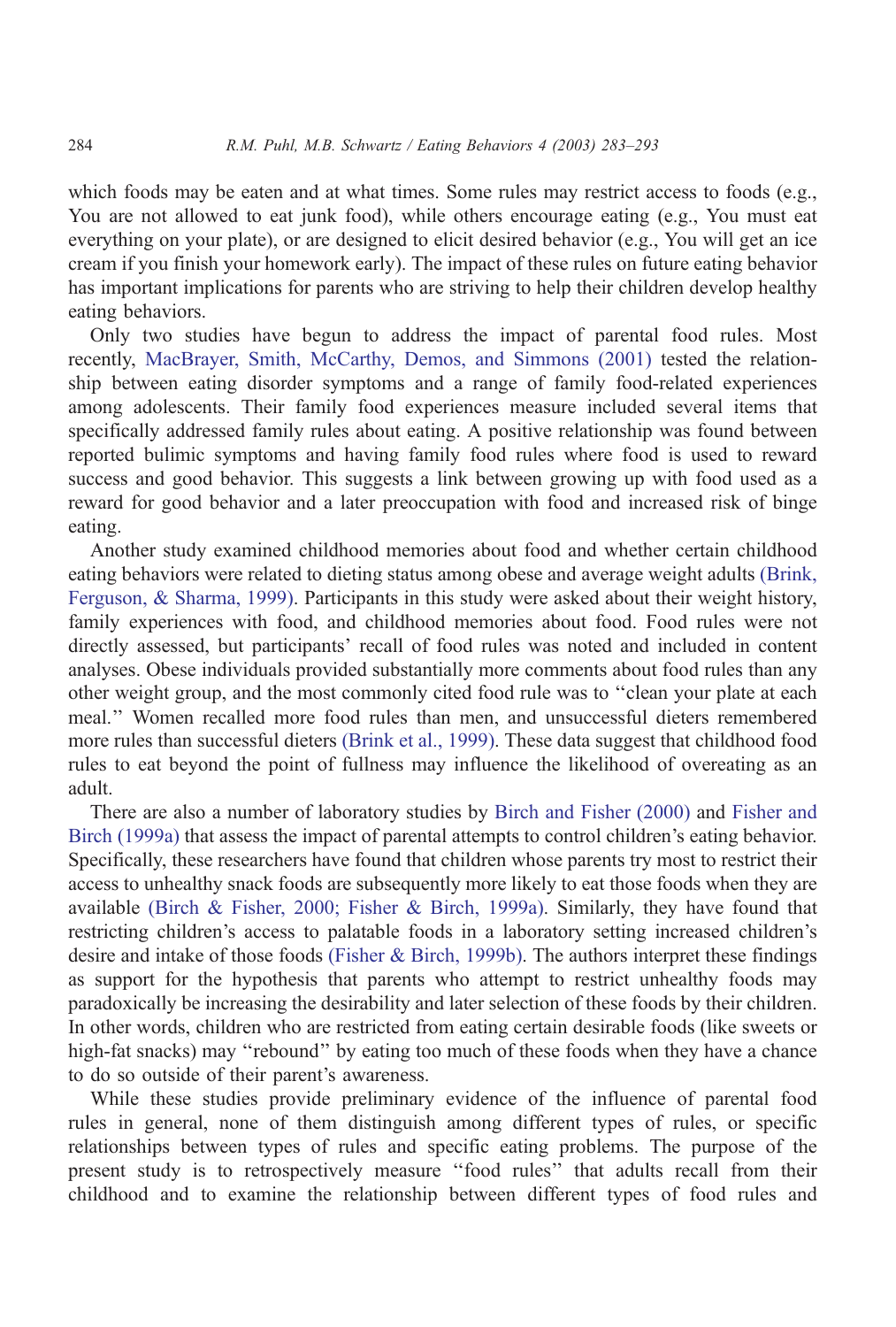which foods may be eaten and at what times. Some rules may restrict access to foods (e.g., You are not allowed to eat junk food), while others encourage eating (e.g., You must eat everything on your plate), or are designed to elicit desired behavior (e.g., You will get an ice cream if you finish your homework early). The impact of these rules on future eating behavior has important implications for parents who are striving to help their children develop healthy eating behaviors.

Only two studies have begun to address the impact of parental food rules. Most recently, MacBrayer, Smith, McCarthy, Demos, and Simmons (2001) tested the relationship between eating disorder symptoms and a range of family food-related experiences among adolescents. Their family food experiences measure included several items that specifically addressed family rules about eating. A positive relationship was found between reported bulimic symptoms and having family food rules where food is used to reward success and good behavior. This suggests a link between growing up with food used as a reward for good behavior and a later preoccupation with food and increased risk of binge eating.

Another study examined childhood memories about food and whether certain childhood eating behaviors were related to dieting status among obese and average weight adults (Brink, Ferguson, & Sharma, 1999). Participants in this study were asked about their weight history, family experiences with food, and childhood memories about food. Food rules were not directly assessed, but participants' recall of food rules was noted and included in content analyses. Obese individuals provided substantially more comments about food rules than any other weight group, and the most commonly cited food rule was to ''clean your plate at each meal.'' Women recalled more food rules than men, and unsuccessful dieters remembered more rules than successful dieters (Brink et al., 1999). These data suggest that childhood food rules to eat beyond the point of fullness may influence the likelihood of overeating as an adult.

There are also a number of laboratory studies by Birch and Fisher (2000) and Fisher and Birch (1999a) that assess the impact of parental attempts to control children's eating behavior. Specifically, these researchers have found that children whose parents try most to restrict their access to unhealthy snack foods are subsequently more likely to eat those foods when they are available (Birch & Fisher, 2000; Fisher & Birch, 1999a). Similarly, they have found that restricting children's access to palatable foods in a laboratory setting increased children's desire and intake of those foods (Fisher & Birch, 1999b). The authors interpret these findings as support for the hypothesis that parents who attempt to restrict unhealthy foods may paradoxically be increasing the desirability and later selection of these foods by their children. In other words, children who are restricted from eating certain desirable foods (like sweets or high-fat snacks) may ''rebound'' by eating too much of these foods when they have a chance to do so outside of their parent's awareness.

While these studies provide preliminary evidence of the influence of parental food rules in general, none of them distinguish among different types of rules, or specific relationships between types of rules and specific eating problems. The purpose of the present study is to retrospectively measure ''food rules'' that adults recall from their childhood and to examine the relationship between different types of food rules and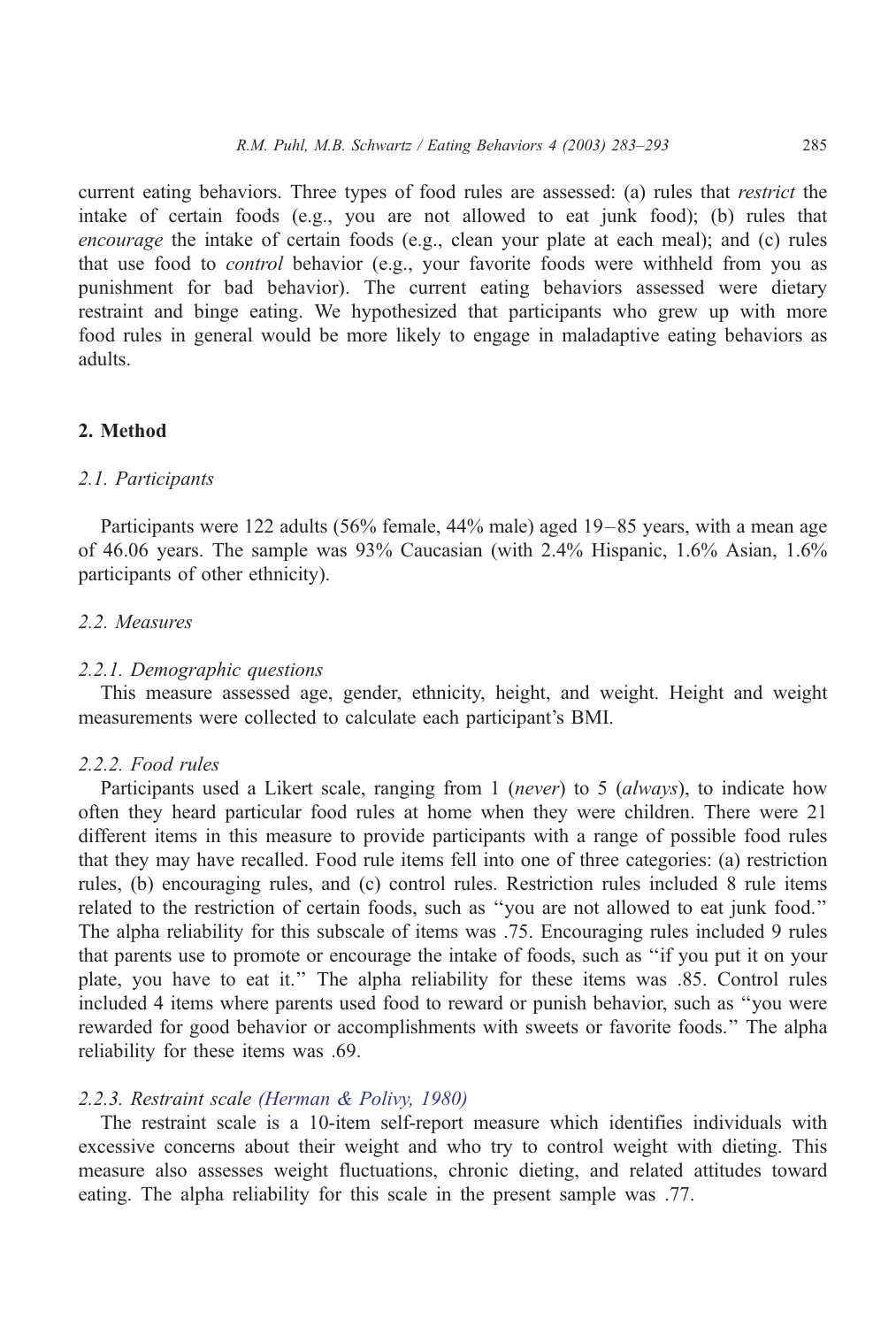current eating behaviors. Three types of food rules are assessed: (a) rules that *restrict* the intake of certain foods (e.g., you are not allowed to eat junk food); (b) rules that encourage the intake of certain foods (e.g., clean your plate at each meal); and (c) rules that use food to control behavior (e.g., your favorite foods were withheld from you as punishment for bad behavior). The current eating behaviors assessed were dietary restraint and binge eating. We hypothesized that participants who grew up with more food rules in general would be more likely to engage in maladaptive eating behaviors as adults.

# 2. Method

## 2.1. Participants

Participants were 122 adults (56% female, 44% male) aged 19–85 years, with a mean age of 46.06 years. The sample was 93% Caucasian (with 2.4% Hispanic, 1.6% Asian, 1.6% participants of other ethnicity).

### 2.2. Measures

#### 2.2.1. Demographic questions

This measure assessed age, gender, ethnicity, height, and weight. Height and weight measurements were collected to calculate each participant's BMI.

#### 2.2.2. Food rules

Participants used a Likert scale, ranging from 1 (never) to 5 (always), to indicate how often they heard particular food rules at home when they were children. There were 21 different items in this measure to provide participants with a range of possible food rules that they may have recalled. Food rule items fell into one of three categories: (a) restriction rules, (b) encouraging rules, and (c) control rules. Restriction rules included 8 rule items related to the restriction of certain foods, such as ''you are not allowed to eat junk food.'' The alpha reliability for this subscale of items was .75. Encouraging rules included 9 rules that parents use to promote or encourage the intake of foods, such as ''if you put it on your plate, you have to eat it.'' The alpha reliability for these items was .85. Control rules included 4 items where parents used food to reward or punish behavior, such as ''you were rewarded for good behavior or accomplishments with sweets or favorite foods.'' The alpha reliability for these items was .69.

## 2.2.3. Restraint scale (Herman & Polivy, 1980)

The restraint scale is a 10-item self-report measure which identifies individuals with excessive concerns about their weight and who try to control weight with dieting. This measure also assesses weight fluctuations, chronic dieting, and related attitudes toward eating. The alpha reliability for this scale in the present sample was .77.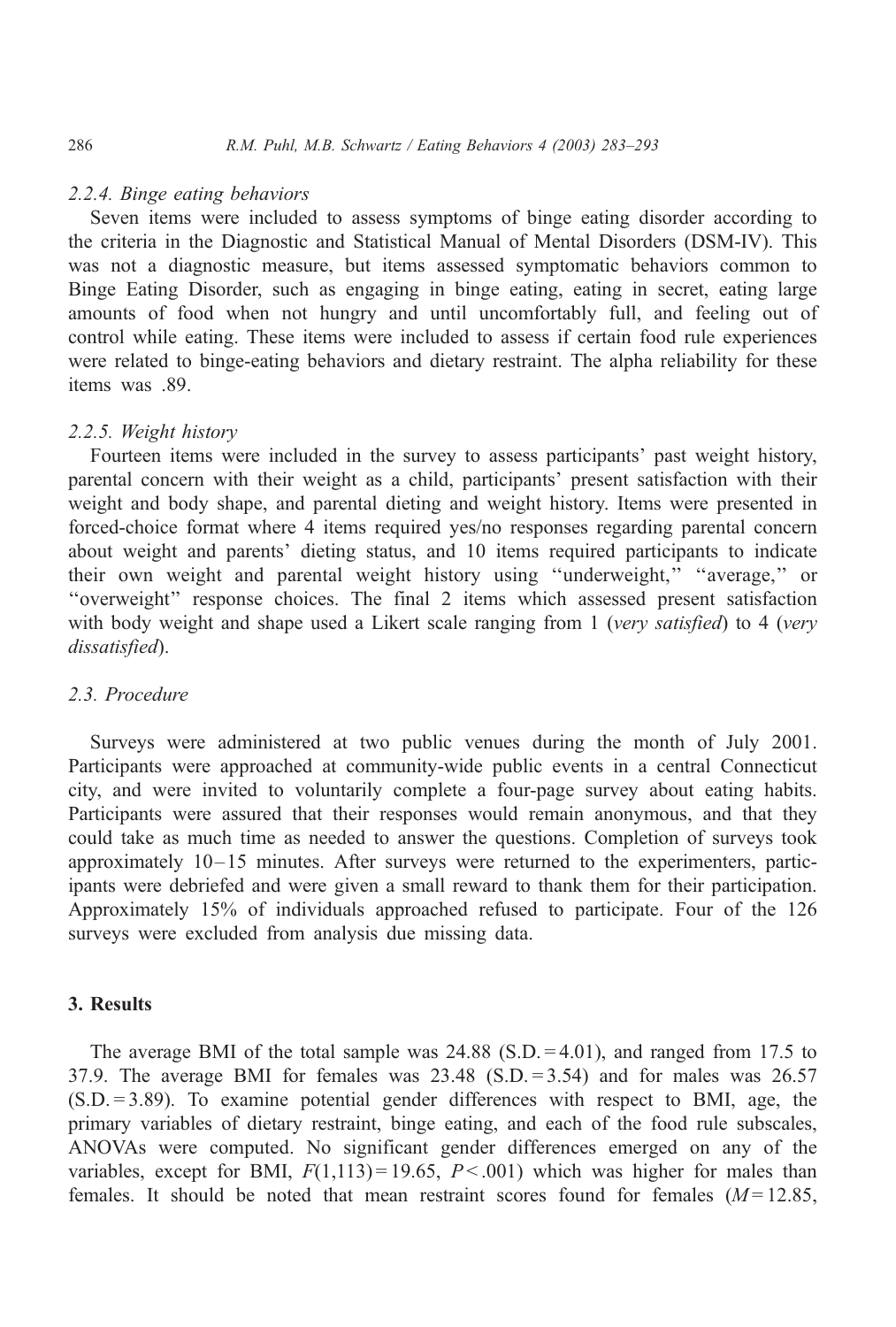## 2.2.4. Binge eating behaviors

Seven items were included to assess symptoms of binge eating disorder according to the criteria in the Diagnostic and Statistical Manual of Mental Disorders (DSM-IV). This was not a diagnostic measure, but items assessed symptomatic behaviors common to Binge Eating Disorder, such as engaging in binge eating, eating in secret, eating large amounts of food when not hungry and until uncomfortably full, and feeling out of control while eating. These items were included to assess if certain food rule experiences were related to binge-eating behaviors and dietary restraint. The alpha reliability for these items was .89.

#### 2.2.5. Weight history

Fourteen items were included in the survey to assess participants' past weight history, parental concern with their weight as a child, participants' present satisfaction with their weight and body shape, and parental dieting and weight history. Items were presented in forced-choice format where 4 items required yes/no responses regarding parental concern about weight and parents' dieting status, and 10 items required participants to indicate their own weight and parental weight history using ''underweight,'' ''average,'' or ''overweight'' response choices. The final 2 items which assessed present satisfaction with body weight and shape used a Likert scale ranging from 1 (very satisfied) to 4 (very dissatisfied).

## 2.3. Procedure

Surveys were administered at two public venues during the month of July 2001. Participants were approached at community-wide public events in a central Connecticut city, and were invited to voluntarily complete a four-page survey about eating habits. Participants were assured that their responses would remain anonymous, and that they could take as much time as needed to answer the questions. Completion of surveys took approximately 10–15 minutes. After surveys were returned to the experimenters, participants were debriefed and were given a small reward to thank them for their participation. Approximately 15% of individuals approached refused to participate. Four of the 126 surveys were excluded from analysis due missing data.

## 3. Results

The average BMI of the total sample was  $24.88$  (S.D.  $= 4.01$ ), and ranged from 17.5 to 37.9. The average BMI for females was  $23.48$  (S.D. = 3.54) and for males was 26.57 (S.D. = 3.89). To examine potential gender differences with respect to BMI, age, the primary variables of dietary restraint, binge eating, and each of the food rule subscales, ANOVAs were computed. No significant gender differences emerged on any of the variables, except for BMI,  $F(1,113) = 19.65$ ,  $P < .001$ ) which was higher for males than females. It should be noted that mean restraint scores found for females  $(M=12.85,$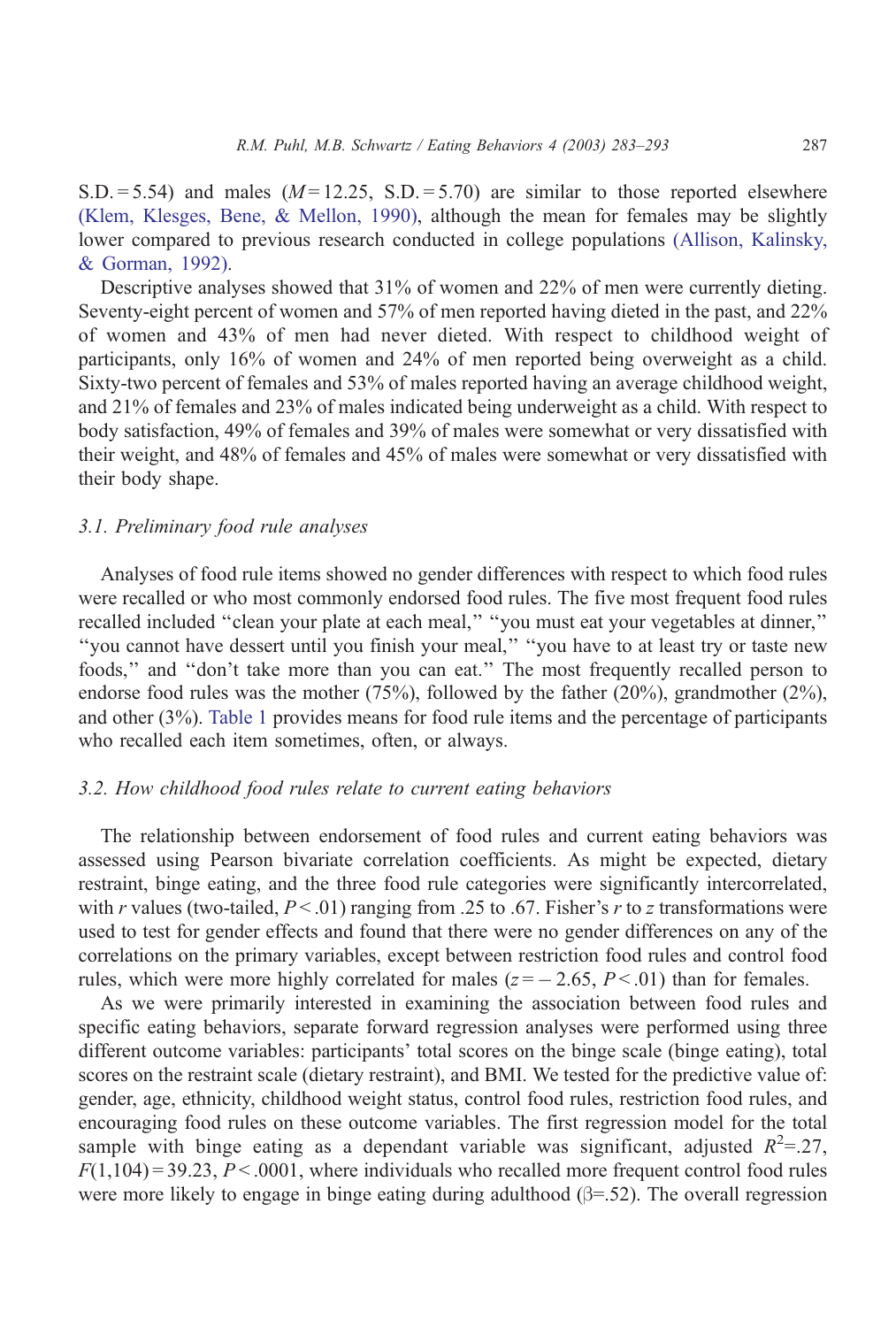S.D. = 5.54) and males ( $M = 12.25$ , S.D. = 5.70) are similar to those reported elsewhere (Klem, Klesges, Bene, & Mellon, 1990), although the mean for females may be slightly lower compared to previous research conducted in college populations (Allison, Kalinsky, & Gorman, 1992).

Descriptive analyses showed that 31% of women and 22% of men were currently dieting. Seventy-eight percent of women and 57% of men reported having dieted in the past, and 22% of women and 43% of men had never dieted. With respect to childhood weight of participants, only 16% of women and 24% of men reported being overweight as a child. Sixty-two percent of females and 53% of males reported having an average childhood weight, and 21% of females and 23% of males indicated being underweight as a child. With respect to body satisfaction, 49% of females and 39% of males were somewhat or very dissatisfied with their weight, and 48% of females and 45% of males were somewhat or very dissatisfied with their body shape.

## 3.1. Preliminary food rule analyses

Analyses of food rule items showed no gender differences with respect to which food rules were recalled or who most commonly endorsed food rules. The five most frequent food rules recalled included ''clean your plate at each meal,'' ''you must eat your vegetables at dinner,'' ''you cannot have dessert until you finish your meal,'' ''you have to at least try or taste new foods,'' and ''don't take more than you can eat.'' The most frequently recalled person to endorse food rules was the mother  $(75%)$ , followed by the father  $(20%)$ , grandmother  $(2%)$ , and other (3%). Table 1 provides means for food rule items and the percentage of participants who recalled each item sometimes, often, or always.

## 3.2. How childhood food rules relate to current eating behaviors

The relationship between endorsement of food rules and current eating behaviors was assessed using Pearson bivariate correlation coefficients. As might be expected, dietary restraint, binge eating, and the three food rule categories were significantly intercorrelated, with r values (two-tailed,  $P < 01$ ) ranging from .25 to .67. Fisher's r to z transformations were used to test for gender effects and found that there were no gender differences on any of the correlations on the primary variables, except between restriction food rules and control food rules, which were more highly correlated for males  $(z = -2.65, P < .01)$  than for females.

As we were primarily interested in examining the association between food rules and specific eating behaviors, separate forward regression analyses were performed using three different outcome variables: participants' total scores on the binge scale (binge eating), total scores on the restraint scale (dietary restraint), and BMI. We tested for the predictive value of: gender, age, ethnicity, childhood weight status, control food rules, restriction food rules, and encouraging food rules on these outcome variables. The first regression model for the total sample with binge eating as a dependant variable was significant, adjusted  $R^2 = .27$ ,  $F(1,104) = 39.23$ ,  $P \le 0.0001$ , where individuals who recalled more frequent control food rules were more likely to engage in binge eating during adulthood  $(\beta = .52)$ . The overall regression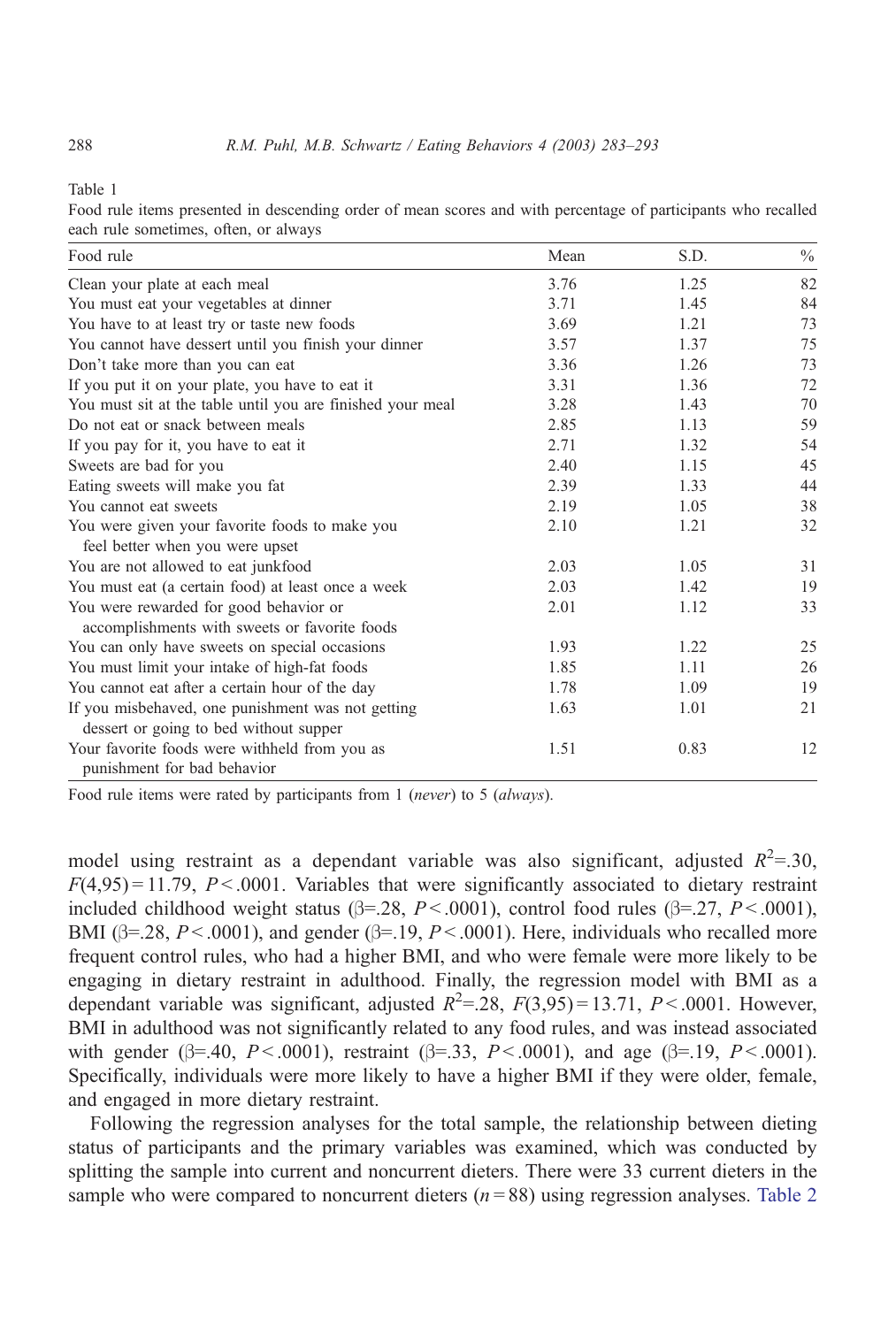Table 1

| Food rule items presented in descending order of mean scores and with percentage of participants who recalled |  |  |  |  |  |  |
|---------------------------------------------------------------------------------------------------------------|--|--|--|--|--|--|
| each rule sometimes, often, or always                                                                         |  |  |  |  |  |  |

| Food rule                                                  | Mean | S.D. | $\%$ |
|------------------------------------------------------------|------|------|------|
| Clean your plate at each meal                              | 3.76 | 1.25 | 82   |
| You must eat your vegetables at dinner                     | 3.71 | 1.45 | 84   |
| You have to at least try or taste new foods                | 3.69 | 1.21 | 73   |
| You cannot have dessert until you finish your dinner       | 3.57 | 1.37 | 75   |
| Don't take more than you can eat                           | 3.36 | 1.26 | 73   |
| If you put it on your plate, you have to eat it            | 3.31 | 1.36 | 72   |
| You must sit at the table until you are finished your meal | 3.28 | 1.43 | 70   |
| Do not eat or snack between meals                          | 2.85 | 1.13 | 59   |
| If you pay for it, you have to eat it                      | 2.71 | 1.32 | 54   |
| Sweets are bad for you                                     | 2.40 | 1.15 | 45   |
| Eating sweets will make you fat                            | 2.39 | 1.33 | 44   |
| You cannot eat sweets                                      | 2.19 | 1.05 | 38   |
| You were given your favorite foods to make you             | 2.10 | 1.21 | 32   |
| feel better when you were upset                            |      |      |      |
| You are not allowed to eat junkfood                        | 2.03 | 1.05 | 31   |
| You must eat (a certain food) at least once a week         | 2.03 | 1.42 | 19   |
| You were rewarded for good behavior or                     | 2.01 | 1.12 | 33   |
| accomplishments with sweets or favorite foods              |      |      |      |
| You can only have sweets on special occasions              | 1.93 | 1.22 | 25   |
| You must limit your intake of high-fat foods               | 1.85 | 1.11 | 26   |
| You cannot eat after a certain hour of the day             | 1.78 | 1.09 | 19   |
| If you misbehaved, one punishment was not getting          | 1.63 | 1.01 | 21   |
| dessert or going to bed without supper                     |      |      |      |
| Your favorite foods were withheld from you as              | 1.51 | 0.83 | 12   |
| punishment for bad behavior                                |      |      |      |

Food rule items were rated by participants from 1 (never) to 5 (always).

model using restraint as a dependant variable was also significant, adjusted  $R^2 = 30$ ,  $F(4,95) = 11.79$ ,  $P < .0001$ . Variables that were significantly associated to dietary restraint included childhood weight status ( $\beta$ =.28, P < .0001), control food rules ( $\beta$ =.27, P < .0001), BMI ( $\beta$ =.28, P < .0001), and gender ( $\beta$ =.19, P < .0001). Here, individuals who recalled more frequent control rules, who had a higher BMI, and who were female were more likely to be engaging in dietary restraint in adulthood. Finally, the regression model with BMI as a dependant variable was significant, adjusted  $R^2 = .28$ ,  $F(3,95) = 13.71$ ,  $P < .0001$ . However, BMI in adulthood was not significantly related to any food rules, and was instead associated with gender ( $\beta$ =.40, P < .0001), restraint ( $\beta$ =.33, P < .0001), and age ( $\beta$ =.19, P < .0001). Specifically, individuals were more likely to have a higher BMI if they were older, female, and engaged in more dietary restraint.

Following the regression analyses for the total sample, the relationship between dieting status of participants and the primary variables was examined, which was conducted by splitting the sample into current and noncurrent dieters. There were 33 current dieters in the sample who were compared to noncurrent dieters  $(n = 88)$  using regression analyses. Table 2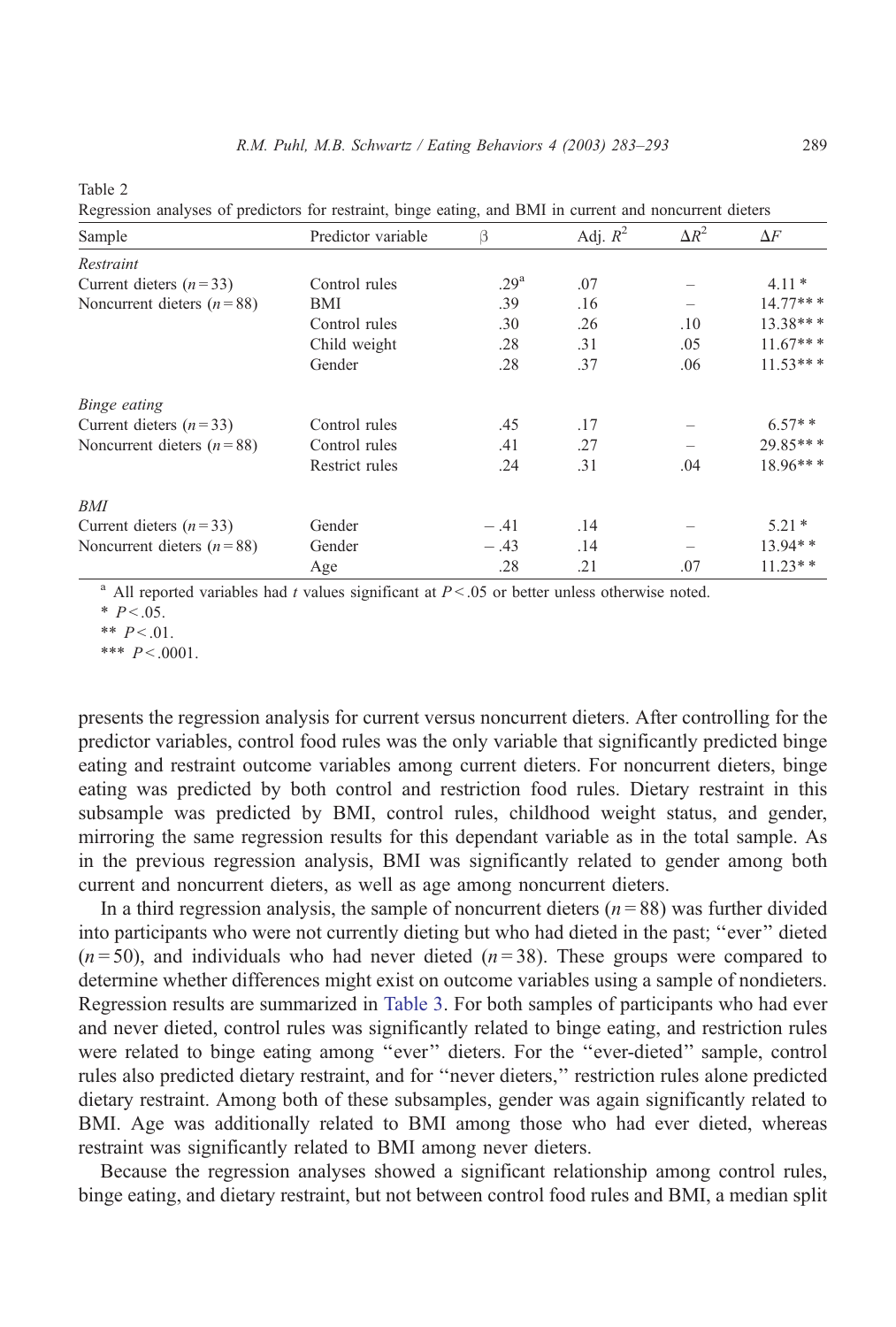Table 2

Regression analyses of predictors for restraint, binge eating, and BMI in current and noncurrent dieters

| Sample                      | Predictor variable | $\beta$          | Adj. $R^2$ | $\Delta R^2$ | $\Delta F$ |
|-----------------------------|--------------------|------------------|------------|--------------|------------|
| Restraint                   |                    |                  |            |              |            |
| Current dieters $(n=33)$    | Control rules      | .29 <sup>a</sup> | .07        |              | $4.11*$    |
| Noncurrent dieters $(n=88)$ | BMI                | .39              | .16        |              | $14.77***$ |
|                             | Control rules      | .30              | .26        | .10          | 13.38***   |
|                             | Child weight       | .28              | .31        | .05          | $11.67***$ |
|                             | Gender             | .28              | .37        | .06          | $11.53***$ |
| Binge eating                |                    |                  |            |              |            |
| Current dieters $(n=33)$    | Control rules      | .45              | .17        |              | $6.57**$   |
| Noncurrent dieters $(n=88)$ | Control rules      | .41              | .27        |              | 29.85***   |
|                             | Restrict rules     | .24              | .31        | .04          | 18.96***   |
| BMI                         |                    |                  |            |              |            |
| Current dieters $(n=33)$    | Gender             | $-.41$           | .14        |              | $5.21*$    |
| Noncurrent dieters $(n=88)$ | Gender             | $-.43$           | .14        |              | 13.94**    |
|                             | Age                | .28              | .21        | .07          | $11.23**$  |

<sup>a</sup> All reported variables had t values significant at  $P < .05$  or better unless otherwise noted.

 $*$   $P < .05$ .

\*\*  $P < 01$ .

\*\*\*  $P < 0.001$ .

presents the regression analysis for current versus noncurrent dieters. After controlling for the predictor variables, control food rules was the only variable that significantly predicted binge eating and restraint outcome variables among current dieters. For noncurrent dieters, binge eating was predicted by both control and restriction food rules. Dietary restraint in this subsample was predicted by BMI, control rules, childhood weight status, and gender, mirroring the same regression results for this dependant variable as in the total sample. As in the previous regression analysis, BMI was significantly related to gender among both current and noncurrent dieters, as well as age among noncurrent dieters.

In a third regression analysis, the sample of noncurrent dieters  $(n = 88)$  was further divided into participants who were not currently dieting but who had dieted in the past; ''ever'' dieted  $(n=50)$ , and individuals who had never dieted  $(n=38)$ . These groups were compared to determine whether differences might exist on outcome variables using a sample of nondieters. Regression results are summarized in Table 3. For both samples of participants who had ever and never dieted, control rules was significantly related to binge eating, and restriction rules were related to binge eating among ''ever'' dieters. For the ''ever-dieted'' sample, control rules also predicted dietary restraint, and for ''never dieters,'' restriction rules alone predicted dietary restraint. Among both of these subsamples, gender was again significantly related to BMI. Age was additionally related to BMI among those who had ever dieted, whereas restraint was significantly related to BMI among never dieters.

Because the regression analyses showed a significant relationship among control rules, binge eating, and dietary restraint, but not between control food rules and BMI, a median split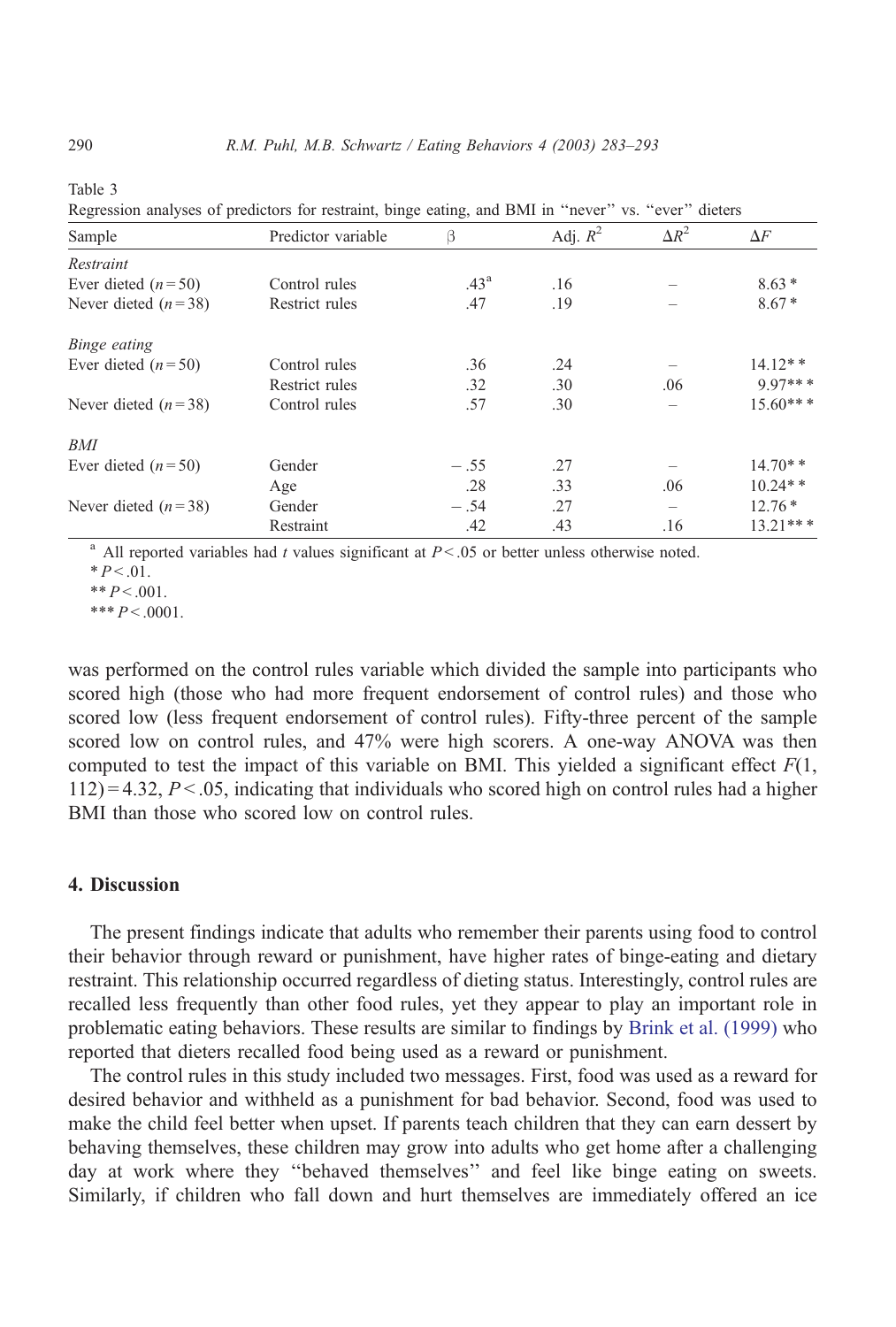| Regression analyses of predictors for restraint, binge eating, and BMI in "never" vs. "ever" dieters |                    |                  |            |              |            |  |  |  |
|------------------------------------------------------------------------------------------------------|--------------------|------------------|------------|--------------|------------|--|--|--|
| Sample                                                                                               | Predictor variable | ß                | Adj. $R^2$ | $\Delta R^2$ | $\Delta F$ |  |  |  |
| Restraint                                                                                            |                    |                  |            |              |            |  |  |  |
| Ever dieted $(n=50)$                                                                                 | Control rules      | .43 <sup>a</sup> | .16        |              | $8.63*$    |  |  |  |
| Never dieted $(n=38)$                                                                                | Restrict rules     | .47              | .19        |              | $8.67*$    |  |  |  |
| Binge eating                                                                                         |                    |                  |            |              |            |  |  |  |
| Ever dieted $(n=50)$                                                                                 | Control rules      | .36              | .24        |              | $14.12**$  |  |  |  |
|                                                                                                      | Restrict rules     | .32              | .30        | .06          | $9.97***$  |  |  |  |
| Never dieted $(n=38)$                                                                                | Control rules      | .57              | .30        |              | $15.60***$ |  |  |  |
| BMI                                                                                                  |                    |                  |            |              |            |  |  |  |
| Ever dieted $(n=50)$                                                                                 | Gender             | $-.55$           | .27        |              | $14.70**$  |  |  |  |
|                                                                                                      | Age                | .28              | .33        | .06          | $10.24**$  |  |  |  |
| Never dieted $(n=38)$                                                                                | Gender             | $-.54$           | .27        |              | $12.76*$   |  |  |  |

Table 3

Regression analyses of predictors for restraint, binge eating, and BMI in ''never'' vs. ''ever'' dieters

<sup>a</sup> All reported variables had t values significant at  $P < .05$  or better unless otherwise noted.

\*\*\*  $P < 0.001$ .

was performed on the control rules variable which divided the sample into participants who scored high (those who had more frequent endorsement of control rules) and those who scored low (less frequent endorsement of control rules). Fifty-three percent of the sample scored low on control rules, and 47% were high scorers. A one-way ANOVA was then computed to test the impact of this variable on BMI. This yielded a significant effect  $F(1)$ ,  $112$ ) = 4.32, P < .05, indicating that individuals who scored high on control rules had a higher BMI than those who scored low on control rules.

Restraint .42 .43 .16 13.21\*\*\*

# 4. Discussion

The present findings indicate that adults who remember their parents using food to control their behavior through reward or punishment, have higher rates of binge-eating and dietary restraint. This relationship occurred regardless of dieting status. Interestingly, control rules are recalled less frequently than other food rules, yet they appear to play an important role in problematic eating behaviors. These results are similar to findings by Brink et al. (1999) who reported that dieters recalled food being used as a reward or punishment.

The control rules in this study included two messages. First, food was used as a reward for desired behavior and withheld as a punishment for bad behavior. Second, food was used to make the child feel better when upset. If parents teach children that they can earn dessert by behaving themselves, these children may grow into adults who get home after a challenging day at work where they ''behaved themselves'' and feel like binge eating on sweets. Similarly, if children who fall down and hurt themselves are immediately offered an ice

 $* P < 01.$ 

 $**P < .001$ .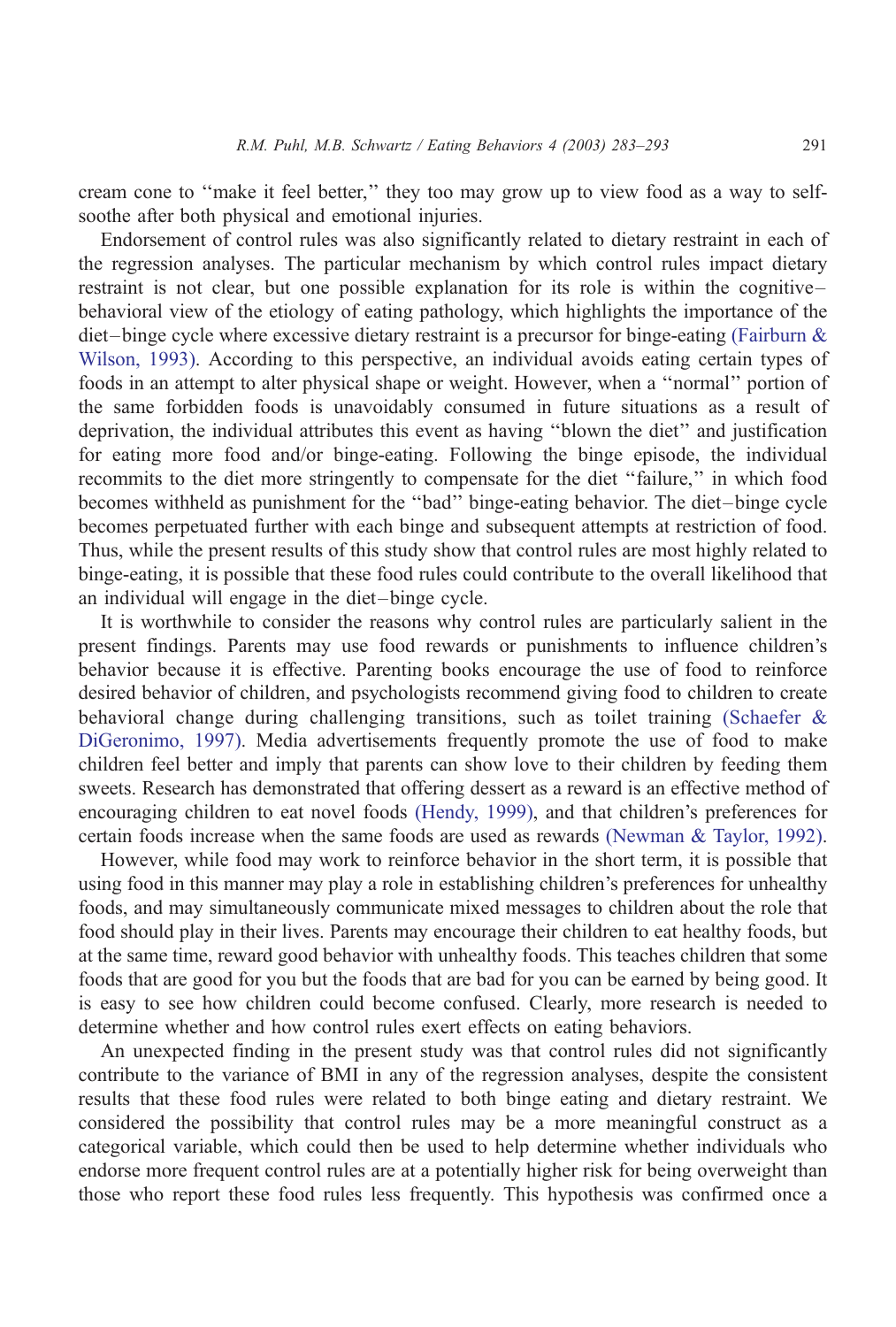cream cone to ''make it feel better,'' they too may grow up to view food as a way to selfsoothe after both physical and emotional injuries.

Endorsement of control rules was also significantly related to dietary restraint in each of the regression analyses. The particular mechanism by which control rules impact dietary restraint is not clear, but one possible explanation for its role is within the cognitive– behavioral view of the etiology of eating pathology, which highlights the importance of the diet–binge cycle where excessive dietary restraint is a precursor for binge-eating (Fairburn & Wilson, 1993). According to this perspective, an individual avoids eating certain types of foods in an attempt to alter physical shape or weight. However, when a ''normal'' portion of the same forbidden foods is unavoidably consumed in future situations as a result of deprivation, the individual attributes this event as having ''blown the diet'' and justification for eating more food and/or binge-eating. Following the binge episode, the individual recommits to the diet more stringently to compensate for the diet ''failure,'' in which food becomes withheld as punishment for the ''bad'' binge-eating behavior. The diet–binge cycle becomes perpetuated further with each binge and subsequent attempts at restriction of food. Thus, while the present results of this study show that control rules are most highly related to binge-eating, it is possible that these food rules could contribute to the overall likelihood that an individual will engage in the diet–binge cycle.

It is worthwhile to consider the reasons why control rules are particularly salient in the present findings. Parents may use food rewards or punishments to influence children's behavior because it is effective. Parenting books encourage the use of food to reinforce desired behavior of children, and psychologists recommend giving food to children to create behavioral change during challenging transitions, such as toilet training (Schaefer & DiGeronimo, 1997). Media advertisements frequently promote the use of food to make children feel better and imply that parents can show love to their children by feeding them sweets. Research has demonstrated that offering dessert as a reward is an effective method of encouraging children to eat novel foods (Hendy, 1999), and that children's preferences for certain foods increase when the same foods are used as rewards (Newman & Taylor, 1992).

However, while food may work to reinforce behavior in the short term, it is possible that using food in this manner may play a role in establishing children's preferences for unhealthy foods, and may simultaneously communicate mixed messages to children about the role that food should play in their lives. Parents may encourage their children to eat healthy foods, but at the same time, reward good behavior with unhealthy foods. This teaches children that some foods that are good for you but the foods that are bad for you can be earned by being good. It is easy to see how children could become confused. Clearly, more research is needed to determine whether and how control rules exert effects on eating behaviors.

An unexpected finding in the present study was that control rules did not significantly contribute to the variance of BMI in any of the regression analyses, despite the consistent results that these food rules were related to both binge eating and dietary restraint. We considered the possibility that control rules may be a more meaningful construct as a categorical variable, which could then be used to help determine whether individuals who endorse more frequent control rules are at a potentially higher risk for being overweight than those who report these food rules less frequently. This hypothesis was confirmed once a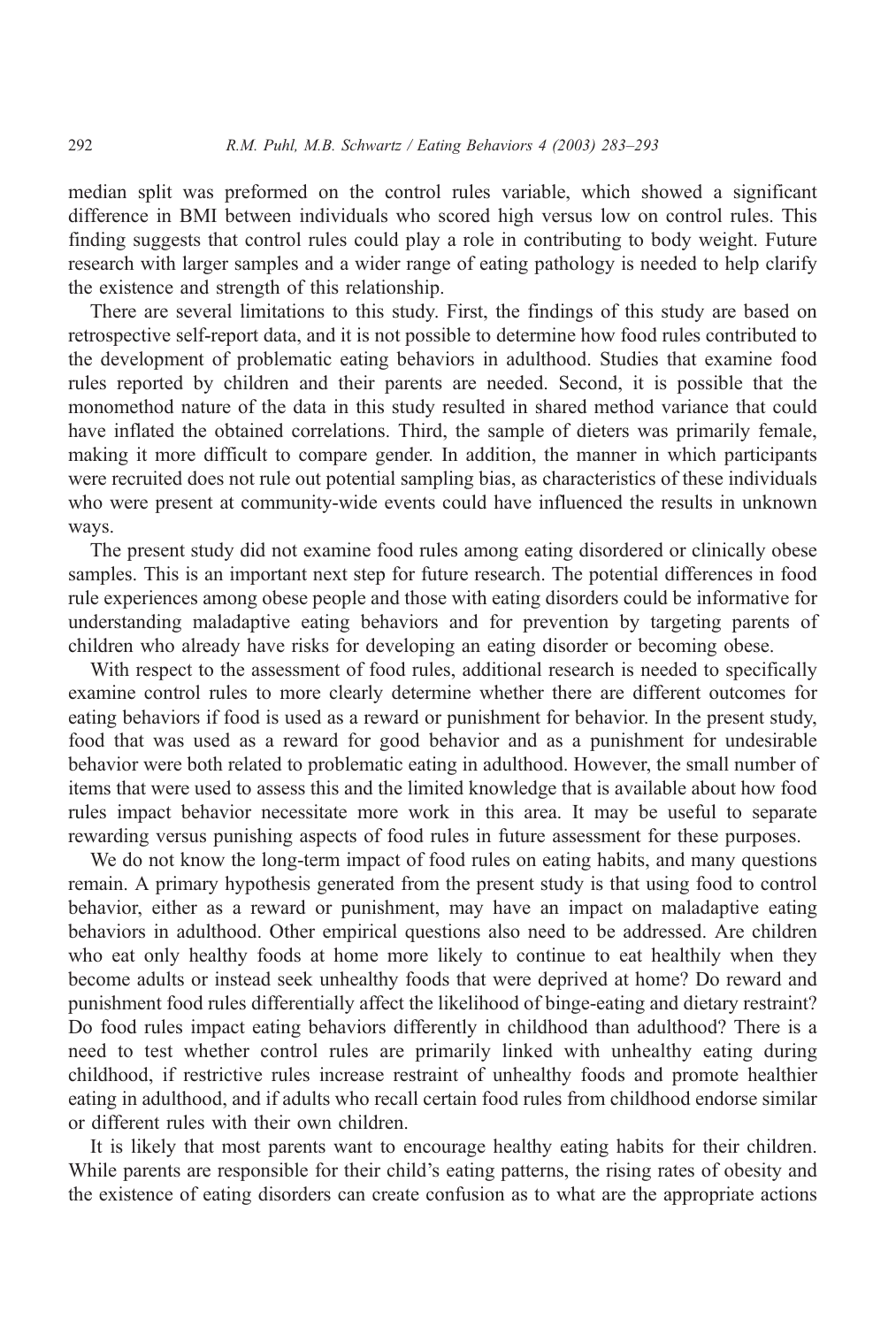median split was preformed on the control rules variable, which showed a significant difference in BMI between individuals who scored high versus low on control rules. This finding suggests that control rules could play a role in contributing to body weight. Future research with larger samples and a wider range of eating pathology is needed to help clarify the existence and strength of this relationship.

There are several limitations to this study. First, the findings of this study are based on retrospective self-report data, and it is not possible to determine how food rules contributed to the development of problematic eating behaviors in adulthood. Studies that examine food rules reported by children and their parents are needed. Second, it is possible that the monomethod nature of the data in this study resulted in shared method variance that could have inflated the obtained correlations. Third, the sample of dieters was primarily female, making it more difficult to compare gender. In addition, the manner in which participants were recruited does not rule out potential sampling bias, as characteristics of these individuals who were present at community-wide events could have influenced the results in unknown ways.

The present study did not examine food rules among eating disordered or clinically obese samples. This is an important next step for future research. The potential differences in food rule experiences among obese people and those with eating disorders could be informative for understanding maladaptive eating behaviors and for prevention by targeting parents of children who already have risks for developing an eating disorder or becoming obese.

With respect to the assessment of food rules, additional research is needed to specifically examine control rules to more clearly determine whether there are different outcomes for eating behaviors if food is used as a reward or punishment for behavior. In the present study, food that was used as a reward for good behavior and as a punishment for undesirable behavior were both related to problematic eating in adulthood. However, the small number of items that were used to assess this and the limited knowledge that is available about how food rules impact behavior necessitate more work in this area. It may be useful to separate rewarding versus punishing aspects of food rules in future assessment for these purposes.

We do not know the long-term impact of food rules on eating habits, and many questions remain. A primary hypothesis generated from the present study is that using food to control behavior, either as a reward or punishment, may have an impact on maladaptive eating behaviors in adulthood. Other empirical questions also need to be addressed. Are children who eat only healthy foods at home more likely to continue to eat healthily when they become adults or instead seek unhealthy foods that were deprived at home? Do reward and punishment food rules differentially affect the likelihood of binge-eating and dietary restraint? Do food rules impact eating behaviors differently in childhood than adulthood? There is a need to test whether control rules are primarily linked with unhealthy eating during childhood, if restrictive rules increase restraint of unhealthy foods and promote healthier eating in adulthood, and if adults who recall certain food rules from childhood endorse similar or different rules with their own children.

It is likely that most parents want to encourage healthy eating habits for their children. While parents are responsible for their child's eating patterns, the rising rates of obesity and the existence of eating disorders can create confusion as to what are the appropriate actions